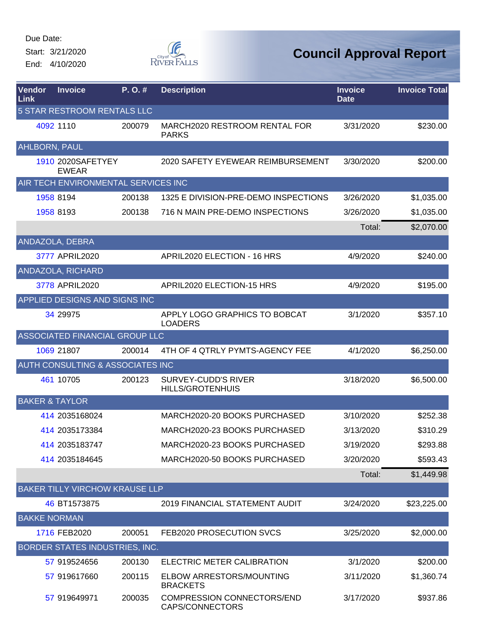Start: 3/21/2020 End: 4/10/2020



| Vendor<br>Link            | <b>Invoice</b>                              | P.O.#  | <b>Description</b>                                    | <b>Invoice</b><br><b>Date</b> | <b>Invoice Total</b> |
|---------------------------|---------------------------------------------|--------|-------------------------------------------------------|-------------------------------|----------------------|
|                           | 5 STAR RESTROOM RENTALS LLC                 |        |                                                       |                               |                      |
|                           | 4092 1110                                   | 200079 | MARCH2020 RESTROOM RENTAL FOR<br><b>PARKS</b>         | 3/31/2020                     | \$230.00             |
| AHLBORN, PAUL             |                                             |        |                                                       |                               |                      |
|                           | 1910 2020SAFETYEY<br><b>EWEAR</b>           |        | 2020 SAFETY EYEWEAR REIMBURSEMENT                     | 3/30/2020                     | \$200.00             |
|                           | AIR TECH ENVIRONMENTAL SERVICES INC         |        |                                                       |                               |                      |
|                           | 1958 8194                                   | 200138 | 1325 E DIVISION-PRE-DEMO INSPECTIONS                  | 3/26/2020                     | \$1,035.00           |
|                           | 1958 8193                                   | 200138 | 716 N MAIN PRE-DEMO INSPECTIONS                       | 3/26/2020                     | \$1,035.00           |
|                           |                                             |        |                                                       | Total:                        | \$2,070.00           |
|                           | ANDAZOLA, DEBRA                             |        |                                                       |                               |                      |
|                           | 3777 APRIL2020                              |        | APRIL2020 ELECTION - 16 HRS                           | 4/9/2020                      | \$240.00             |
|                           | ANDAZOLA, RICHARD                           |        |                                                       |                               |                      |
|                           | 3778 APRIL2020                              |        | APRIL2020 ELECTION-15 HRS                             | 4/9/2020                      | \$195.00             |
|                           | APPLIED DESIGNS AND SIGNS INC               |        |                                                       |                               |                      |
|                           | 34 29975                                    |        | APPLY LOGO GRAPHICS TO BOBCAT<br><b>LOADERS</b>       | 3/1/2020                      | \$357.10             |
|                           | ASSOCIATED FINANCIAL GROUP LLC              |        |                                                       |                               |                      |
|                           | 1069 21807                                  | 200014 | 4TH OF 4 QTRLY PYMTS-AGENCY FEE                       | 4/1/2020                      | \$6,250.00           |
|                           | <b>AUTH CONSULTING &amp; ASSOCIATES INC</b> |        |                                                       |                               |                      |
|                           | 461 10705                                   | 200123 | <b>SURVEY-CUDD'S RIVER</b><br><b>HILLS/GROTENHUIS</b> | 3/18/2020                     | \$6,500.00           |
| <b>BAKER &amp; TAYLOR</b> |                                             |        |                                                       |                               |                      |
|                           | 414 2035168024                              |        | MARCH2020-20 BOOKS PURCHASED                          | 3/10/2020                     | \$252.38             |
|                           | 414 2035173384                              |        | MARCH2020-23 BOOKS PURCHASED                          | 3/13/2020                     | \$310.29             |
|                           | 414 2035183747                              |        | MARCH2020-23 BOOKS PURCHASED                          | 3/19/2020                     | \$293.88             |
|                           | 414 2035184645                              |        | MARCH2020-50 BOOKS PURCHASED                          | 3/20/2020                     | \$593.43             |
|                           |                                             |        |                                                       | Total:                        | \$1,449.98           |
|                           | <b>BAKER TILLY VIRCHOW KRAUSE LLP</b>       |        |                                                       |                               |                      |
|                           | 46 BT1573875                                |        | <b>2019 FINANCIAL STATEMENT AUDIT</b>                 | 3/24/2020                     | \$23,225.00          |
| <b>BAKKE NORMAN</b>       |                                             |        |                                                       |                               |                      |
|                           | 1716 FEB2020                                | 200051 | FEB2020 PROSECUTION SVCS                              | 3/25/2020                     | \$2,000.00           |
|                           | BORDER STATES INDUSTRIES, INC.              |        |                                                       |                               |                      |
|                           | 57 919524656                                | 200130 | ELECTRIC METER CALIBRATION                            | 3/1/2020                      | \$200.00             |
|                           | 57 919617660                                | 200115 | ELBOW ARRESTORS/MOUNTING<br><b>BRACKETS</b>           | 3/11/2020                     | \$1,360.74           |
|                           | 57 919649971                                | 200035 | COMPRESSION CONNECTORS/END<br>CAPS/CONNECTORS         | 3/17/2020                     | \$937.86             |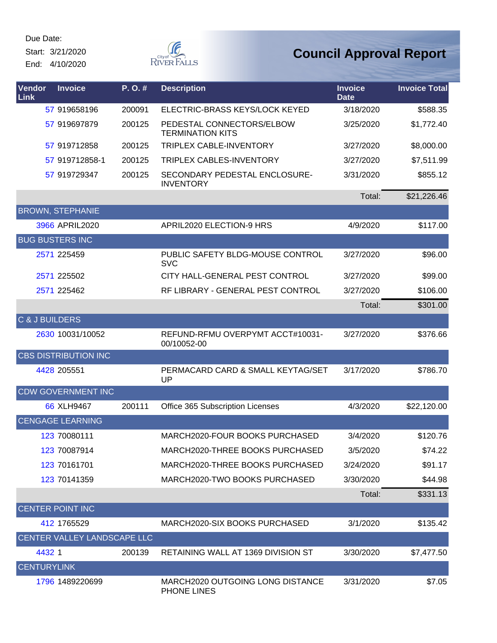Start: 3/21/2020

End: 4/10/2020



| Vendor<br>Link     | <b>Invoice</b>              | P.O.#  | <b>Description</b>                                   | <b>Invoice</b><br><b>Date</b> | <b>Invoice Total</b> |
|--------------------|-----------------------------|--------|------------------------------------------------------|-------------------------------|----------------------|
|                    | 57 919658196                | 200091 | ELECTRIC-BRASS KEYS/LOCK KEYED                       | 3/18/2020                     | \$588.35             |
|                    | 57 919697879                | 200125 | PEDESTAL CONNECTORS/ELBOW<br><b>TERMINATION KITS</b> | 3/25/2020                     | \$1,772.40           |
|                    | 57 919712858                | 200125 | TRIPLEX CABLE-INVENTORY                              | 3/27/2020                     | \$8,000.00           |
|                    | 57 919712858-1              | 200125 | <b>TRIPLEX CABLES-INVENTORY</b>                      | 3/27/2020                     | \$7,511.99           |
|                    | 57 919729347                | 200125 | SECONDARY PEDESTAL ENCLOSURE-<br><b>INVENTORY</b>    | 3/31/2020                     | \$855.12             |
|                    |                             |        |                                                      | Total:                        | \$21,226.46          |
|                    | <b>BROWN, STEPHANIE</b>     |        |                                                      |                               |                      |
|                    | 3966 APRIL2020              |        | APRIL2020 ELECTION-9 HRS                             | 4/9/2020                      | \$117.00             |
|                    | <b>BUG BUSTERS INC</b>      |        |                                                      |                               |                      |
|                    | 2571 225459                 |        | PUBLIC SAFETY BLDG-MOUSE CONTROL<br><b>SVC</b>       | 3/27/2020                     | \$96.00              |
|                    | 2571 225502                 |        | CITY HALL-GENERAL PEST CONTROL                       | 3/27/2020                     | \$99.00              |
|                    | 2571 225462                 |        | RF LIBRARY - GENERAL PEST CONTROL                    | 3/27/2020                     | \$106.00             |
|                    |                             |        |                                                      | Total:                        | \$301.00             |
| C & J BUILDERS     |                             |        |                                                      |                               |                      |
|                    | 2630 10031/10052            |        | REFUND-RFMU OVERPYMT ACCT#10031-<br>00/10052-00      | 3/27/2020                     | \$376.66             |
|                    | <b>CBS DISTRIBUTION INC</b> |        |                                                      |                               |                      |
|                    | 4428 205551                 |        | PERMACARD CARD & SMALL KEYTAG/SET<br>UP              | 3/17/2020                     | \$786.70             |
|                    | <b>CDW GOVERNMENT INC</b>   |        |                                                      |                               |                      |
|                    | 66 XLH9467                  | 200111 | Office 365 Subscription Licenses                     | 4/3/2020                      | \$22,120.00          |
|                    | <b>CENGAGE LEARNING</b>     |        |                                                      |                               |                      |
|                    | 123 70080111                |        | MARCH2020-FOUR BOOKS PURCHASED                       | 3/4/2020                      | \$120.76             |
|                    | 123 70087914                |        | MARCH2020-THREE BOOKS PURCHASED                      | 3/5/2020                      | \$74.22              |
|                    | 123 70161701                |        | MARCH2020-THREE BOOKS PURCHASED                      | 3/24/2020                     | \$91.17              |
|                    | 123 70141359                |        | MARCH2020-TWO BOOKS PURCHASED                        | 3/30/2020                     | \$44.98              |
|                    |                             |        |                                                      | Total:                        | \$331.13             |
|                    | CENTER POINT INC            |        |                                                      |                               |                      |
|                    | 412 1765529                 |        | MARCH2020-SIX BOOKS PURCHASED                        | 3/1/2020                      | \$135.42             |
|                    | CENTER VALLEY LANDSCAPE LLC |        |                                                      |                               |                      |
| 4432 1             |                             | 200139 | RETAINING WALL AT 1369 DIVISION ST                   | 3/30/2020                     | \$7,477.50           |
| <b>CENTURYLINK</b> |                             |        |                                                      |                               |                      |
|                    | 1796 1489220699             |        | MARCH2020 OUTGOING LONG DISTANCE<br>PHONE LINES      | 3/31/2020                     | \$7.05               |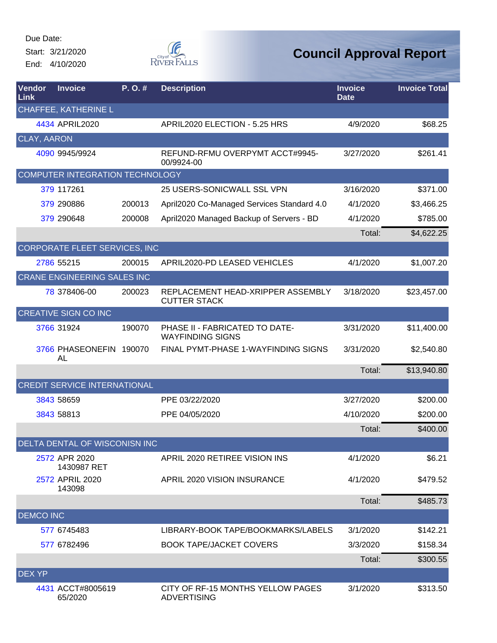Start: 3/21/2020 End: 4/10/2020



| Vendor<br>Link     | <b>Invoice</b>                      | P.O.#  | <b>Description</b>                                        | <b>Invoice</b><br><b>Date</b> | <b>Invoice Total</b> |
|--------------------|-------------------------------------|--------|-----------------------------------------------------------|-------------------------------|----------------------|
|                    | CHAFFEE, KATHERINE L                |        |                                                           |                               |                      |
|                    | 4434 APRIL2020                      |        | APRIL2020 ELECTION - 5.25 HRS                             | 4/9/2020                      | \$68.25              |
| <b>CLAY, AARON</b> |                                     |        |                                                           |                               |                      |
|                    | 4090 9945/9924                      |        | REFUND-RFMU OVERPYMT ACCT#9945-<br>00/9924-00             | 3/27/2020                     | \$261.41             |
|                    | COMPUTER INTEGRATION TECHNOLOGY     |        |                                                           |                               |                      |
|                    | 379 117261                          |        | 25 USERS-SONICWALL SSL VPN                                | 3/16/2020                     | \$371.00             |
|                    | 379 290886                          | 200013 | April2020 Co-Managed Services Standard 4.0                | 4/1/2020                      | \$3,466.25           |
|                    | 379 290648                          | 200008 | April2020 Managed Backup of Servers - BD                  | 4/1/2020                      | \$785.00             |
|                    |                                     |        |                                                           | Total:                        | \$4,622.25           |
|                    | CORPORATE FLEET SERVICES, INC       |        |                                                           |                               |                      |
|                    | 2786 55215                          | 200015 | APRIL2020-PD LEASED VEHICLES                              | 4/1/2020                      | \$1,007.20           |
|                    | <b>CRANE ENGINEERING SALES INC</b>  |        |                                                           |                               |                      |
|                    | 78 378406-00                        | 200023 | REPLACEMENT HEAD-XRIPPER ASSEMBLY<br><b>CUTTER STACK</b>  | 3/18/2020                     | \$23,457.00          |
|                    | <b>CREATIVE SIGN CO INC</b>         |        |                                                           |                               |                      |
|                    | 3766 31924                          | 190070 | PHASE II - FABRICATED TO DATE-<br><b>WAYFINDING SIGNS</b> | 3/31/2020                     | \$11,400.00          |
|                    | 3766 PHASEONEFIN 190070<br>AL       |        | FINAL PYMT-PHASE 1-WAYFINDING SIGNS                       | 3/31/2020                     | \$2,540.80           |
|                    |                                     |        |                                                           | Total:                        | \$13,940.80          |
|                    | <b>CREDIT SERVICE INTERNATIONAL</b> |        |                                                           |                               |                      |
|                    | 3843 58659                          |        | PPE 03/22/2020                                            | 3/27/2020                     | \$200.00             |
|                    | 3843 58813                          |        | PPE 04/05/2020                                            | 4/10/2020                     | \$200.00             |
|                    |                                     |        |                                                           | Total:                        | \$400.00             |
|                    | DELTA DENTAL OF WISCONISN INC       |        |                                                           |                               |                      |
|                    | 2572 APR 2020<br>1430987 RET        |        | APRIL 2020 RETIREE VISION INS                             | 4/1/2020                      | \$6.21               |
|                    | 2572 APRIL 2020<br>143098           |        | APRIL 2020 VISION INSURANCE                               | 4/1/2020                      | \$479.52             |
|                    |                                     |        |                                                           | Total:                        | \$485.73             |
| <b>DEMCO INC</b>   |                                     |        |                                                           |                               |                      |
|                    | 577 6745483                         |        | LIBRARY-BOOK TAPE/BOOKMARKS/LABELS                        | 3/1/2020                      | \$142.21             |
|                    | 577 6782496                         |        | <b>BOOK TAPE/JACKET COVERS</b>                            | 3/3/2020                      | \$158.34             |
|                    |                                     |        |                                                           | Total:                        | \$300.55             |
| <b>DEX YP</b>      |                                     |        |                                                           |                               |                      |
|                    | 4431 ACCT#8005619<br>65/2020        |        | CITY OF RF-15 MONTHS YELLOW PAGES<br><b>ADVERTISING</b>   | 3/1/2020                      | \$313.50             |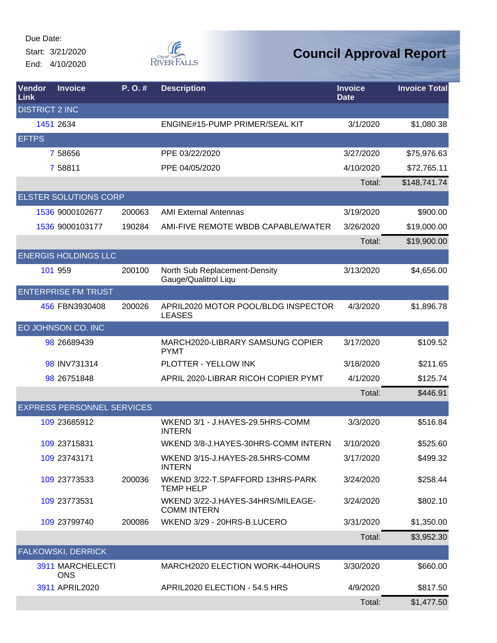Start: 3/21/2020 End: 4/10/2020



| Vendor<br>Link        | <b>Invoice</b>                    | P.O.#  | <b>Description</b>                                      | <b>Invoice</b><br><b>Date</b> | <b>Invoice Total</b> |
|-----------------------|-----------------------------------|--------|---------------------------------------------------------|-------------------------------|----------------------|
| <b>DISTRICT 2 INC</b> |                                   |        |                                                         |                               |                      |
|                       | 1451 2634                         |        | ENGINE#15-PUMP PRIMER/SEAL KIT                          | 3/1/2020                      | \$1,080.38           |
| <b>EFTPS</b>          |                                   |        |                                                         |                               |                      |
|                       | 7 58656                           |        | PPE 03/22/2020                                          | 3/27/2020                     | \$75,976.63          |
|                       | 7 58811                           |        | PPE 04/05/2020                                          | 4/10/2020                     | \$72,765.11          |
|                       |                                   |        |                                                         | Total:                        | \$148,741.74         |
|                       | <b>ELSTER SOLUTIONS CORP</b>      |        |                                                         |                               |                      |
|                       | 1536 9000102677                   | 200063 | <b>AMI External Antennas</b>                            | 3/19/2020                     | \$900.00             |
|                       | 1536 9000103177                   | 190284 | AMI-FIVE REMOTE WBDB CAPABLE/WATER                      | 3/26/2020                     | \$19,000.00          |
|                       |                                   |        |                                                         | Total:                        | \$19,900.00          |
|                       | <b>ENERGIS HOLDINGS LLC</b>       |        |                                                         |                               |                      |
|                       | 101 959                           | 200100 | North Sub Replacement-Density<br>Gauge/Qualitrol Liqu   | 3/13/2020                     | \$4,656.00           |
|                       | <b>ENTERPRISE FM TRUST</b>        |        |                                                         |                               |                      |
|                       | 456 FBN3930408                    | 200026 | APRIL2020 MOTOR POOL/BLDG INSPECTOR<br><b>LEASES</b>    | 4/3/2020                      | \$1,896.78           |
|                       | EO JOHNSON CO. INC                |        |                                                         |                               |                      |
|                       | 98 26689439                       |        | MARCH2020-LIBRARY SAMSUNG COPIER<br><b>PYMT</b>         | 3/17/2020                     | \$109.52             |
|                       | 98 INV731314                      |        | <b>PLOTTER - YELLOW INK</b>                             | 3/18/2020                     | \$211.65             |
|                       | 98 26751848                       |        | APRIL 2020-LIBRAR RICOH COPIER PYMT                     | 4/1/2020                      | \$125.74             |
|                       |                                   |        |                                                         | Total:                        | \$446.91             |
|                       | <b>EXPRESS PERSONNEL SERVICES</b> |        |                                                         |                               |                      |
|                       | 109 23685912                      |        | WKEND 3/1 - J.HAYES-29.5HRS-COMM<br><b>INTERN</b>       | 3/3/2020                      | \$516.84             |
|                       | 109 23715831                      |        | WKEND 3/8-J.HAYES-30HRS-COMM INTERN                     | 3/10/2020                     | \$525.60             |
|                       | 109 23743171                      |        | WKEND 3/15-J.HAYES-28.5HRS-COMM<br><b>INTERN</b>        | 3/17/2020                     | \$499.32             |
|                       | 109 23773533                      | 200036 | WKEND 3/22-T.SPAFFORD 13HRS-PARK<br><b>TEMP HELP</b>    | 3/24/2020                     | \$258.44             |
|                       | 109 23773531                      |        | WKEND 3/22-J.HAYES-34HRS/MILEAGE-<br><b>COMM INTERN</b> | 3/24/2020                     | \$802.10             |
|                       | 109 23799740                      | 200086 | WKEND 3/29 - 20HRS-B.LUCERO                             | 3/31/2020                     | \$1,350.00           |
|                       |                                   |        |                                                         | Total:                        | \$3,952.30           |
|                       | <b>FALKOWSKI, DERRICK</b>         |        |                                                         |                               |                      |
|                       | 3911 MARCHELECTI<br><b>ONS</b>    |        | MARCH2020 ELECTION WORK-44HOURS                         | 3/30/2020                     | \$660.00             |
|                       | 3911 APRIL2020                    |        | APRIL2020 ELECTION - 54.5 HRS                           | 4/9/2020                      | \$817.50             |
|                       |                                   |        |                                                         | Total:                        | \$1,477.50           |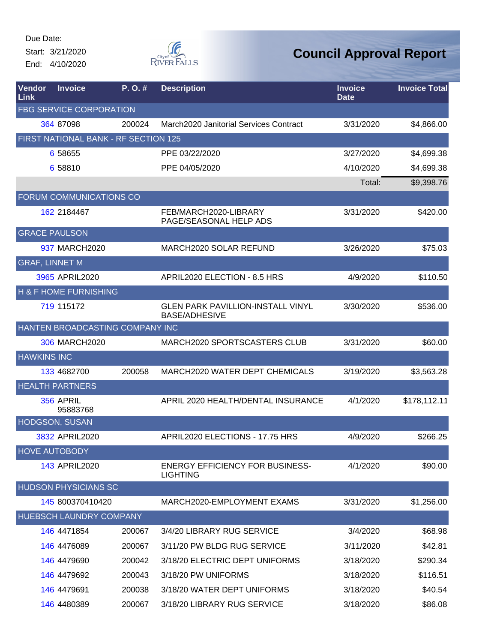Start: 3/21/2020 End: 4/10/2020



| Vendor<br>Link        | <b>Invoice</b>                       | P. O. # | <b>Description</b>                                               | <b>Invoice</b><br><b>Date</b> | <b>Invoice Total</b> |
|-----------------------|--------------------------------------|---------|------------------------------------------------------------------|-------------------------------|----------------------|
|                       | <b>FBG SERVICE CORPORATION</b>       |         |                                                                  |                               |                      |
|                       | 364 87098                            | 200024  | March2020 Janitorial Services Contract                           | 3/31/2020                     | \$4,866.00           |
|                       | FIRST NATIONAL BANK - RF SECTION 125 |         |                                                                  |                               |                      |
|                       | 6 58655                              |         | PPE 03/22/2020                                                   | 3/27/2020                     | \$4,699.38           |
|                       | 6 58810                              |         | PPE 04/05/2020                                                   | 4/10/2020                     | \$4,699.38           |
|                       |                                      |         |                                                                  | Total:                        | \$9,398.76           |
|                       | FORUM COMMUNICATIONS CO              |         |                                                                  |                               |                      |
|                       | 162 2184467                          |         | FEB/MARCH2020-LIBRARY<br>PAGE/SEASONAL HELP ADS                  | 3/31/2020                     | \$420.00             |
|                       | <b>GRACE PAULSON</b>                 |         |                                                                  |                               |                      |
|                       | 937 MARCH2020                        |         | MARCH2020 SOLAR REFUND                                           | 3/26/2020                     | \$75.03              |
| <b>GRAF, LINNET M</b> |                                      |         |                                                                  |                               |                      |
|                       | 3965 APRIL2020                       |         | APRIL2020 ELECTION - 8.5 HRS                                     | 4/9/2020                      | \$110.50             |
|                       | H & F HOME FURNISHING                |         |                                                                  |                               |                      |
|                       | 719 115172                           |         | <b>GLEN PARK PAVILLION-INSTALL VINYL</b><br><b>BASE/ADHESIVE</b> | 3/30/2020                     | \$536.00             |
|                       | HANTEN BROADCASTING COMPANY INC      |         |                                                                  |                               |                      |
|                       | 306 MARCH2020                        |         | MARCH2020 SPORTSCASTERS CLUB                                     | 3/31/2020                     | \$60.00              |
| <b>HAWKINS INC</b>    |                                      |         |                                                                  |                               |                      |
|                       | 133 4682700                          | 200058  | <b>MARCH2020 WATER DEPT CHEMICALS</b>                            | 3/19/2020                     | \$3,563.28           |
|                       | <b>HEALTH PARTNERS</b>               |         |                                                                  |                               |                      |
|                       | 356 APRIL<br>95883768                |         | APRIL 2020 HEALTH/DENTAL INSURANCE                               | 4/1/2020                      | \$178,112.11         |
|                       | <b>HODGSON, SUSAN</b>                |         |                                                                  |                               |                      |
|                       | 3832 APRIL2020                       |         | APRIL2020 ELECTIONS - 17.75 HRS                                  | 4/9/2020                      | \$266.25             |
|                       | <b>HOVE AUTOBODY</b>                 |         |                                                                  |                               |                      |
|                       | <b>143 APRIL2020</b>                 |         | <b>ENERGY EFFICIENCY FOR BUSINESS-</b><br><b>LIGHTING</b>        | 4/1/2020                      | \$90.00              |
|                       | <b>HUDSON PHYSICIANS SC</b>          |         |                                                                  |                               |                      |
|                       | 145 800370410420                     |         | MARCH2020-EMPLOYMENT EXAMS                                       | 3/31/2020                     | \$1,256.00           |
|                       | HUEBSCH LAUNDRY COMPANY              |         |                                                                  |                               |                      |
|                       | 146 4471854                          | 200067  | 3/4/20 LIBRARY RUG SERVICE                                       | 3/4/2020                      | \$68.98              |
|                       | 146 4476089                          | 200067  | 3/11/20 PW BLDG RUG SERVICE                                      | 3/11/2020                     | \$42.81              |
|                       | 146 4479690                          | 200042  | 3/18/20 ELECTRIC DEPT UNIFORMS                                   | 3/18/2020                     | \$290.34             |
|                       | 146 4479692                          | 200043  | 3/18/20 PW UNIFORMS                                              | 3/18/2020                     | \$116.51             |
|                       | 146 4479691                          | 200038  | 3/18/20 WATER DEPT UNIFORMS                                      | 3/18/2020                     | \$40.54              |
|                       | 146 4480389                          | 200067  | 3/18/20 LIBRARY RUG SERVICE                                      | 3/18/2020                     | \$86.08              |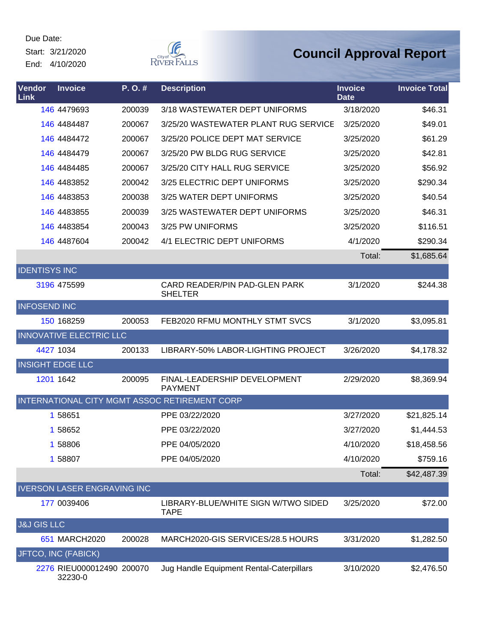Start: 3/21/2020 End: 4/10/2020



| Vendor<br><b>Link</b>   | <b>Invoice</b>                       | P.O.#  | <b>Description</b>                                 | <b>Invoice</b><br><b>Date</b> | <b>Invoice Total</b> |
|-------------------------|--------------------------------------|--------|----------------------------------------------------|-------------------------------|----------------------|
|                         | 146 4479693                          | 200039 | 3/18 WASTEWATER DEPT UNIFORMS                      | 3/18/2020                     | \$46.31              |
|                         | 146 4484487                          | 200067 | 3/25/20 WASTEWATER PLANT RUG SERVICE               | 3/25/2020                     | \$49.01              |
|                         | 146 4484472                          | 200067 | 3/25/20 POLICE DEPT MAT SERVICE                    | 3/25/2020                     | \$61.29              |
|                         | 146 4484479                          | 200067 | 3/25/20 PW BLDG RUG SERVICE                        | 3/25/2020                     | \$42.81              |
|                         | 146 4484485                          | 200067 | 3/25/20 CITY HALL RUG SERVICE                      | 3/25/2020                     | \$56.92              |
|                         | 146 4483852                          | 200042 | 3/25 ELECTRIC DEPT UNIFORMS                        | 3/25/2020                     | \$290.34             |
|                         | 146 4483853                          | 200038 | 3/25 WATER DEPT UNIFORMS                           | 3/25/2020                     | \$40.54              |
|                         | 146 4483855                          | 200039 | 3/25 WASTEWATER DEPT UNIFORMS                      | 3/25/2020                     | \$46.31              |
|                         | 146 4483854                          | 200043 | 3/25 PW UNIFORMS                                   | 3/25/2020                     | \$116.51             |
|                         | 146 4487604                          | 200042 | 4/1 ELECTRIC DEPT UNIFORMS                         | 4/1/2020                      | \$290.34             |
|                         |                                      |        |                                                    | Total:                        | \$1,685.64           |
| <b>IDENTISYS INC</b>    |                                      |        |                                                    |                               |                      |
|                         | 3196 475599                          |        | CARD READER/PIN PAD-GLEN PARK<br><b>SHELTER</b>    | 3/1/2020                      | \$244.38             |
| <b>INFOSEND INC</b>     |                                      |        |                                                    |                               |                      |
|                         | 150 168259                           | 200053 | FEB2020 RFMU MONTHLY STMT SVCS                     | 3/1/2020                      | \$3,095.81           |
|                         | <b>INNOVATIVE ELECTRIC LLC</b>       |        |                                                    |                               |                      |
| 4427 1034               |                                      | 200133 | LIBRARY-50% LABOR-LIGHTING PROJECT                 | 3/26/2020                     | \$4,178.32           |
| <b>INSIGHT EDGE LLC</b> |                                      |        |                                                    |                               |                      |
|                         | 1201 1642                            | 200095 | FINAL-LEADERSHIP DEVELOPMENT<br><b>PAYMENT</b>     | 2/29/2020                     | \$8,369.94           |
|                         |                                      |        | INTERNATIONAL CITY MGMT ASSOC RETIREMENT CORP      |                               |                      |
|                         | 1 58651                              |        | PPE 03/22/2020                                     | 3/27/2020                     | \$21,825.14          |
|                         | 1 58652                              |        | PPE 03/22/2020                                     | 3/27/2020                     | \$1,444.53           |
|                         | 1 58806                              |        | PPE 04/05/2020                                     | 4/10/2020                     | \$18,458.56          |
|                         | 1 58807                              |        | PPE 04/05/2020                                     | 4/10/2020                     | \$759.16             |
|                         |                                      |        |                                                    | Total:                        | \$42,487.39          |
|                         | <b>IVERSON LASER ENGRAVING INC</b>   |        |                                                    |                               |                      |
|                         | 177 0039406                          |        | LIBRARY-BLUE/WHITE SIGN W/TWO SIDED<br><b>TAPE</b> | 3/25/2020                     | \$72.00              |
| <b>J&amp;J GIS LLC</b>  |                                      |        |                                                    |                               |                      |
|                         | 651 MARCH2020                        | 200028 | MARCH2020-GIS SERVICES/28.5 HOURS                  | 3/31/2020                     | \$1,282.50           |
|                         | JFTCO, INC (FABICK)                  |        |                                                    |                               |                      |
|                         | 2276 RIEU000012490 200070<br>32230-0 |        | Jug Handle Equipment Rental-Caterpillars           | 3/10/2020                     | \$2,476.50           |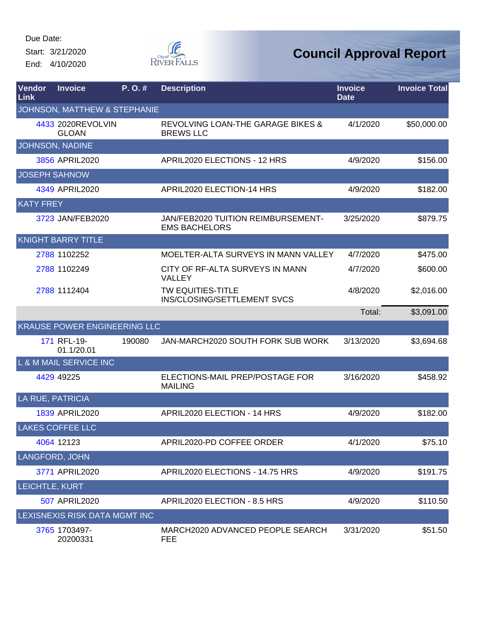Start: 3/21/2020 End: 4/10/2020



| Vendor<br>Link        | <b>Invoice</b>                    | P.O.#  | <b>Description</b>                                         | <b>Invoice</b><br><b>Date</b> | <b>Invoice Total</b> |
|-----------------------|-----------------------------------|--------|------------------------------------------------------------|-------------------------------|----------------------|
|                       | JOHNSON, MATTHEW & STEPHANIE      |        |                                                            |                               |                      |
|                       | 4433 2020REVOLVIN<br><b>GLOAN</b> |        | REVOLVING LOAN-THE GARAGE BIKES &<br><b>BREWS LLC</b>      | 4/1/2020                      | \$50,000.00          |
|                       | <b>JOHNSON, NADINE</b>            |        |                                                            |                               |                      |
|                       | 3856 APRIL2020                    |        | APRIL2020 ELECTIONS - 12 HRS                               | 4/9/2020                      | \$156.00             |
| <b>JOSEPH SAHNOW</b>  |                                   |        |                                                            |                               |                      |
|                       | 4349 APRIL2020                    |        | APRIL2020 ELECTION-14 HRS                                  | 4/9/2020                      | \$182.00             |
| <b>KATY FREY</b>      |                                   |        |                                                            |                               |                      |
|                       | 3723 JAN/FEB2020                  |        | JAN/FEB2020 TUITION REIMBURSEMENT-<br><b>EMS BACHELORS</b> | 3/25/2020                     | \$879.75             |
|                       | <b>KNIGHT BARRY TITLE</b>         |        |                                                            |                               |                      |
|                       | 2788 1102252                      |        | MOELTER-ALTA SURVEYS IN MANN VALLEY                        | 4/7/2020                      | \$475.00             |
|                       | 2788 1102249                      |        | CITY OF RF-ALTA SURVEYS IN MANN<br>VALLEY                  | 4/7/2020                      | \$600.00             |
|                       | 2788 1112404                      |        | TW EQUITIES-TITLE<br><b>INS/CLOSING/SETTLEMENT SVCS</b>    | 4/8/2020                      | \$2,016.00           |
|                       |                                   |        |                                                            | Total:                        | \$3,091.00           |
|                       | KRAUSE POWER ENGINEERING LLC      |        |                                                            |                               |                      |
|                       | 171 RFL-19-<br>01.1/20.01         | 190080 | JAN-MARCH2020 SOUTH FORK SUB WORK                          | 3/13/2020                     | \$3,694.68           |
|                       | <b>L &amp; M MAIL SERVICE INC</b> |        |                                                            |                               |                      |
|                       | 4429 49225                        |        | ELECTIONS-MAIL PREP/POSTAGE FOR<br><b>MAILING</b>          | 3/16/2020                     | \$458.92             |
| LA RUE, PATRICIA      |                                   |        |                                                            |                               |                      |
|                       | 1839 APRIL2020                    |        | APRIL2020 ELECTION - 14 HRS                                | 4/9/2020                      | \$182.00             |
|                       | <b>LAKES COFFEE LLC</b>           |        |                                                            |                               |                      |
|                       | 4064 12123                        |        | APRIL2020-PD COFFEE ORDER                                  | 4/1/2020                      | \$75.10              |
| <b>LANGFORD, JOHN</b> |                                   |        |                                                            |                               |                      |
|                       | 3771 APRIL2020                    |        | APRIL2020 ELECTIONS - 14.75 HRS                            | 4/9/2020                      | \$191.75             |
| LEICHTLE, KURT        |                                   |        |                                                            |                               |                      |
|                       | 507 APRIL2020                     |        | APRIL2020 ELECTION - 8.5 HRS                               | 4/9/2020                      | \$110.50             |
|                       | LEXISNEXIS RISK DATA MGMT INC     |        |                                                            |                               |                      |
|                       | 3765 1703497-<br>20200331         |        | MARCH2020 ADVANCED PEOPLE SEARCH<br>FEE                    | 3/31/2020                     | \$51.50              |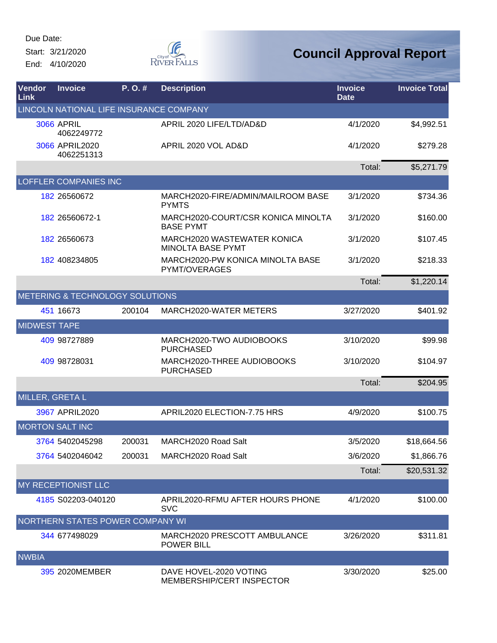Start: 3/21/2020 End: 4/10/2020



| Vendor<br>Link      | <b>Invoice</b>                          | P.O.#  | <b>Description</b>                                      | <b>Invoice</b><br><b>Date</b> | <b>Invoice Total</b> |
|---------------------|-----------------------------------------|--------|---------------------------------------------------------|-------------------------------|----------------------|
|                     | LINCOLN NATIONAL LIFE INSURANCE COMPANY |        |                                                         |                               |                      |
|                     | <b>3066 APRIL</b><br>4062249772         |        | APRIL 2020 LIFE/LTD/AD&D                                | 4/1/2020                      | \$4,992.51           |
|                     | 3066 APRIL2020<br>4062251313            |        | APRIL 2020 VOL AD&D                                     | 4/1/2020                      | \$279.28             |
|                     |                                         |        |                                                         | Total:                        | \$5,271.79           |
|                     | LOFFLER COMPANIES INC                   |        |                                                         |                               |                      |
|                     | 182 26560672                            |        | MARCH2020-FIRE/ADMIN/MAILROOM BASE<br><b>PYMTS</b>      | 3/1/2020                      | \$734.36             |
|                     | 182 26560672-1                          |        | MARCH2020-COURT/CSR KONICA MINOLTA<br><b>BASE PYMT</b>  | 3/1/2020                      | \$160.00             |
|                     | 182 26560673                            |        | MARCH2020 WASTEWATER KONICA<br><b>MINOLTA BASE PYMT</b> | 3/1/2020                      | \$107.45             |
|                     | 182 408234805                           |        | MARCH2020-PW KONICA MINOLTA BASE<br>PYMT/OVERAGES       | 3/1/2020                      | \$218.33             |
|                     |                                         |        |                                                         | Total:                        | \$1,220.14           |
|                     | METERING & TECHNOLOGY SOLUTIONS         |        |                                                         |                               |                      |
|                     | 451 16673                               | 200104 | MARCH2020-WATER METERS                                  | 3/27/2020                     | \$401.92             |
| <b>MIDWEST TAPE</b> |                                         |        |                                                         |                               |                      |
|                     | 409 98727889                            |        | MARCH2020-TWO AUDIOBOOKS<br><b>PURCHASED</b>            | 3/10/2020                     | \$99.98              |
|                     | 409 98728031                            |        | MARCH2020-THREE AUDIOBOOKS<br><b>PURCHASED</b>          | 3/10/2020                     | \$104.97             |
|                     |                                         |        |                                                         | Total:                        | \$204.95             |
| MILLER, GRETA L     |                                         |        |                                                         |                               |                      |
|                     | 3967 APRIL2020                          |        | APRIL2020 ELECTION-7.75 HRS                             | 4/9/2020                      | \$100.75             |
|                     | <b>MORTON SALT INC</b>                  |        |                                                         |                               |                      |
|                     | 3764 5402045298                         | 200031 | MARCH2020 Road Salt                                     | 3/5/2020                      | \$18,664.56          |
|                     | 3764 5402046042                         | 200031 | MARCH2020 Road Salt                                     | 3/6/2020                      | \$1,866.76           |
|                     |                                         |        |                                                         | Total:                        | \$20,531.32          |
|                     | <b>MY RECEPTIONIST LLC</b>              |        |                                                         |                               |                      |
|                     | 4185 S02203-040120                      |        | APRIL2020-RFMU AFTER HOURS PHONE<br><b>SVC</b>          | 4/1/2020                      | \$100.00             |
|                     | NORTHERN STATES POWER COMPANY WI        |        |                                                         |                               |                      |
|                     | 344 677498029                           |        | MARCH2020 PRESCOTT AMBULANCE<br><b>POWER BILL</b>       | 3/26/2020                     | \$311.81             |
| <b>NWBIA</b>        |                                         |        |                                                         |                               |                      |
|                     | 395 2020MEMBER                          |        | DAVE HOVEL-2020 VOTING<br>MEMBERSHIP/CERT INSPECTOR     | 3/30/2020                     | \$25.00              |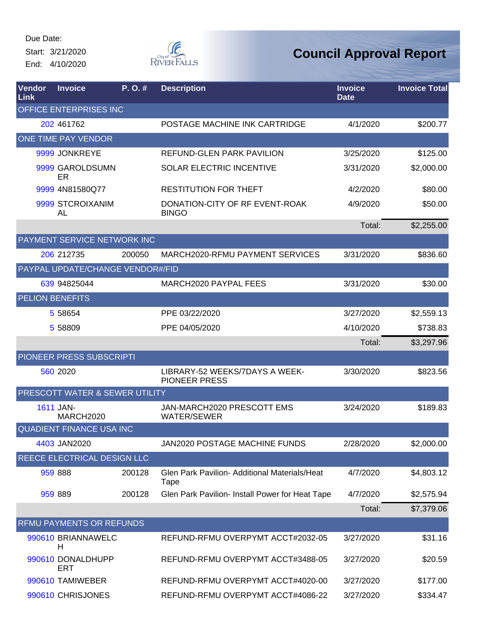Start: 3/21/2020 End: 4/10/2020



| Vendor<br>Link | <b>Invoice</b>                   | P. O.# | <b>Description</b>                                     | <b>Invoice</b><br><b>Date</b> | <b>Invoice Total</b> |
|----------------|----------------------------------|--------|--------------------------------------------------------|-------------------------------|----------------------|
|                | OFFICE ENTERPRISES INC           |        |                                                        |                               |                      |
|                | 202 461762                       |        | POSTAGE MACHINE INK CARTRIDGE                          | 4/1/2020                      | \$200.77             |
|                | ONE TIME PAY VENDOR              |        |                                                        |                               |                      |
|                | 9999 JONKREYE                    |        | REFUND-GLEN PARK PAVILION                              | 3/25/2020                     | \$125.00             |
|                | 9999 GAROLDSUMN<br>ER            |        | SOLAR ELECTRIC INCENTIVE                               | 3/31/2020                     | \$2,000.00           |
|                | 9999 4N81580Q77                  |        | <b>RESTITUTION FOR THEFT</b>                           | 4/2/2020                      | \$80.00              |
|                | 9999 STCROIXANIM<br>AL           |        | DONATION-CITY OF RF EVENT-ROAK<br><b>BINGO</b>         | 4/9/2020                      | \$50.00              |
|                |                                  |        |                                                        | Total:                        | \$2,255.00           |
|                | PAYMENT SERVICE NETWORK INC      |        |                                                        |                               |                      |
|                | 206 212735                       | 200050 | MARCH2020-RFMU PAYMENT SERVICES                        | 3/31/2020                     | \$836.60             |
|                | PAYPAL UPDATE/CHANGE VENDOR#/FID |        |                                                        |                               |                      |
|                | 639 94825044                     |        | MARCH2020 PAYPAL FEES                                  | 3/31/2020                     | \$30.00              |
|                | <b>PELION BENEFITS</b>           |        |                                                        |                               |                      |
|                | 5 58654                          |        | PPE 03/22/2020                                         | 3/27/2020                     | \$2,559.13           |
|                | 5 58809                          |        | PPE 04/05/2020                                         | 4/10/2020                     | \$738.83             |
|                |                                  |        |                                                        | Total:                        | \$3,297.96           |
|                | PIONEER PRESS SUBSCRIPTI         |        |                                                        |                               |                      |
|                | 560 2020                         |        | LIBRARY-52 WEEKS/7DAYS A WEEK-<br><b>PIONEER PRESS</b> | 3/30/2020                     | \$823.56             |
|                | PRESCOTT WATER & SEWER UTILITY   |        |                                                        |                               |                      |
|                | 1611 JAN-<br>MARCH2020           |        | JAN-MARCH2020 PRESCOTT EMS<br>WATER/SEWER              | 3/24/2020                     | \$189.83             |
|                | <b>QUADIENT FINANCE USA INC</b>  |        |                                                        |                               |                      |
|                | 4403 JAN2020                     |        | JAN2020 POSTAGE MACHINE FUNDS                          | 2/28/2020                     | \$2,000.00           |
|                | REECE ELECTRICAL DESIGN LLC      |        |                                                        |                               |                      |
|                | 959 888                          | 200128 | Glen Park Pavilion- Additional Materials/Heat<br>Tape  | 4/7/2020                      | \$4,803.12           |
|                | 959 889                          | 200128 | Glen Park Pavilion- Install Power for Heat Tape        | 4/7/2020                      | \$2,575.94           |
|                |                                  |        |                                                        | Total:                        | \$7,379.06           |
|                | <b>RFMU PAYMENTS OR REFUNDS</b>  |        |                                                        |                               |                      |
|                | 990610 BRIANNAWELC<br>Н          |        | REFUND-RFMU OVERPYMT ACCT#2032-05                      | 3/27/2020                     | \$31.16              |
|                | 990610 DONALDHUPP<br>ERT         |        | REFUND-RFMU OVERPYMT ACCT#3488-05                      | 3/27/2020                     | \$20.59              |
|                | 990610 TAMIWEBER                 |        | REFUND-RFMU OVERPYMT ACCT#4020-00                      | 3/27/2020                     | \$177.00             |
|                | 990610 CHRISJONES                |        | REFUND-RFMU OVERPYMT ACCT#4086-22                      | 3/27/2020                     | \$334.47             |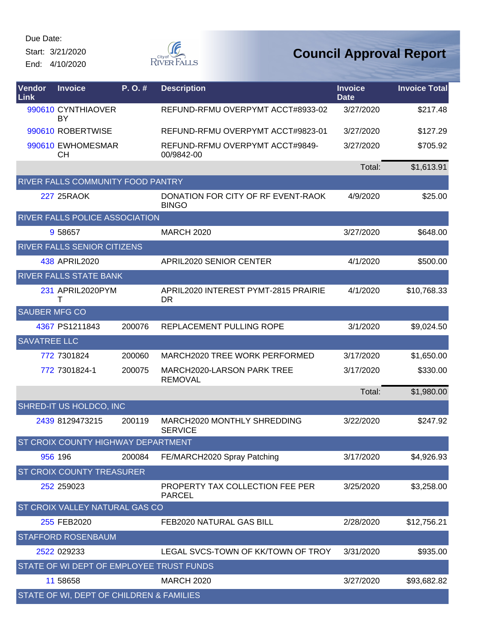Start: 3/21/2020 End: 4/10/2020

Œ RIVER FALLS

| Vendor<br>Link       | <b>Invoice</b>                           | P.O.#  | <b>Description</b>                                  | <b>Invoice</b><br><b>Date</b> | <b>Invoice Total</b> |
|----------------------|------------------------------------------|--------|-----------------------------------------------------|-------------------------------|----------------------|
|                      | 990610 CYNTHIAOVER<br><b>BY</b>          |        | REFUND-RFMU OVERPYMT ACCT#8933-02                   | 3/27/2020                     | \$217.48             |
|                      | 990610 ROBERTWISE                        |        | REFUND-RFMU OVERPYMT ACCT#9823-01                   | 3/27/2020                     | \$127.29             |
|                      | 990610 EWHOMESMAR<br><b>CH</b>           |        | REFUND-RFMU OVERPYMT ACCT#9849-<br>00/9842-00       | 3/27/2020                     | \$705.92             |
|                      |                                          |        |                                                     | Total:                        | \$1,613.91           |
|                      | RIVER FALLS COMMUNITY FOOD PANTRY        |        |                                                     |                               |                      |
|                      | <b>227 25RAOK</b>                        |        | DONATION FOR CITY OF RF EVENT-RAOK<br><b>BINGO</b>  | 4/9/2020                      | \$25.00              |
|                      | RIVER FALLS POLICE ASSOCIATION           |        |                                                     |                               |                      |
|                      | 9 58657                                  |        | <b>MARCH 2020</b>                                   | 3/27/2020                     | \$648.00             |
|                      | RIVER FALLS SENIOR CITIZENS              |        |                                                     |                               |                      |
|                      | 438 APRIL2020                            |        | APRIL2020 SENIOR CENTER                             | 4/1/2020                      | \$500.00             |
|                      | RIVER FALLS STATE BANK                   |        |                                                     |                               |                      |
|                      | 231 APRIL2020PYM<br>т                    |        | APRIL2020 INTEREST PYMT-2815 PRAIRIE<br>DR.         | 4/1/2020                      | \$10,768.33          |
| <b>SAUBER MFG CO</b> |                                          |        |                                                     |                               |                      |
|                      | 4367 PS1211843                           | 200076 | REPLACEMENT PULLING ROPE                            | 3/1/2020                      | \$9,024.50           |
| <b>SAVATREE LLC</b>  |                                          |        |                                                     |                               |                      |
|                      | 772 7301824                              | 200060 | MARCH2020 TREE WORK PERFORMED                       | 3/17/2020                     | \$1,650.00           |
|                      | 772 7301824-1                            | 200075 | <b>MARCH2020-LARSON PARK TREE</b><br><b>REMOVAL</b> | 3/17/2020                     | \$330.00             |
|                      |                                          |        |                                                     | Total:                        | \$1,980.00           |
|                      | SHRED-IT US HOLDCO, INC                  |        |                                                     |                               |                      |
|                      | 2439 8129473215                          | 200119 | MARCH2020 MONTHLY SHREDDING<br><b>SERVICE</b>       | 3/22/2020                     | \$247.92             |
|                      | ST CROIX COUNTY HIGHWAY DEPARTMENT       |        |                                                     |                               |                      |
|                      | 956 196                                  | 200084 | FE/MARCH2020 Spray Patching                         | 3/17/2020                     | \$4,926.93           |
|                      | <b>ST CROIX COUNTY TREASURER</b>         |        |                                                     |                               |                      |
|                      | 252 259023                               |        | PROPERTY TAX COLLECTION FEE PER<br><b>PARCEL</b>    | 3/25/2020                     | \$3,258.00           |
|                      | ST CROIX VALLEY NATURAL GAS CO           |        |                                                     |                               |                      |
|                      | 255 FEB2020                              |        | FEB2020 NATURAL GAS BILL                            | 2/28/2020                     | \$12,756.21          |
|                      | <b>STAFFORD ROSENBAUM</b>                |        |                                                     |                               |                      |
|                      | 2522 029233                              |        | LEGAL SVCS-TOWN OF KK/TOWN OF TROY                  | 3/31/2020                     | \$935.00             |
|                      | STATE OF WI DEPT OF EMPLOYEE TRUST FUNDS |        |                                                     |                               |                      |
|                      | 11 58658                                 |        | <b>MARCH 2020</b>                                   | 3/27/2020                     | \$93,682.82          |
|                      | STATE OF WI, DEPT OF CHILDREN & FAMILIES |        |                                                     |                               |                      |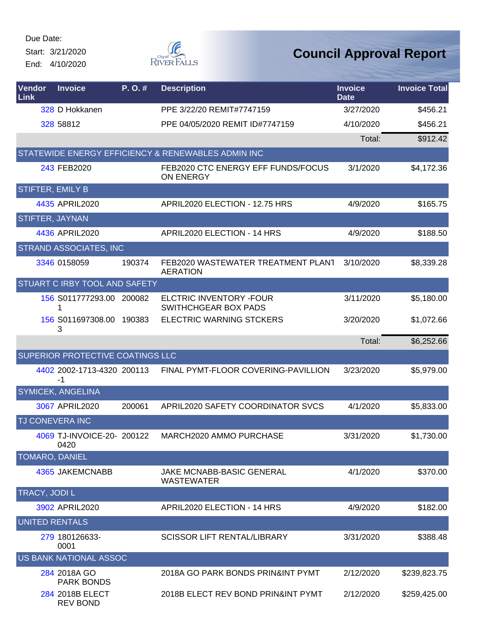Start: 3/21/2020 End: 4/10/2020



| Vendor<br>Link          | <b>Invoice</b>                     | P.O.#  | <b>Description</b>                                             | <b>Invoice</b><br><b>Date</b> | <b>Invoice Total</b> |
|-------------------------|------------------------------------|--------|----------------------------------------------------------------|-------------------------------|----------------------|
|                         | 328 D Hokkanen                     |        | PPE 3/22/20 REMIT#7747159                                      | 3/27/2020                     | \$456.21             |
|                         | 328 58812                          |        | PPE 04/05/2020 REMIT ID#7747159                                | 4/10/2020                     | \$456.21             |
|                         |                                    |        |                                                                | Total:                        | \$912.42             |
|                         |                                    |        | STATEWIDE ENERGY EFFICIENCY & RENEWABLES ADMIN INC             |                               |                      |
|                         | 243 FEB2020                        |        | FEB2020 CTC ENERGY EFF FUNDS/FOCUS<br>ON ENERGY                | 3/1/2020                      | \$4,172.36           |
| <b>STIFTER, EMILY B</b> |                                    |        |                                                                |                               |                      |
|                         | 4435 APRIL2020                     |        | APRIL2020 ELECTION - 12.75 HRS                                 | 4/9/2020                      | \$165.75             |
| <b>STIFTER, JAYNAN</b>  |                                    |        |                                                                |                               |                      |
|                         | 4436 APRIL2020                     |        | APRIL2020 ELECTION - 14 HRS                                    | 4/9/2020                      | \$188.50             |
|                         | STRAND ASSOCIATES, INC             |        |                                                                |                               |                      |
|                         | 3346 0158059                       | 190374 | FEB2020 WASTEWATER TREATMENT PLANT<br><b>AERATION</b>          | 3/10/2020                     | \$8,339.28           |
|                         | STUART C IRBY TOOL AND SAFETY      |        |                                                                |                               |                      |
|                         | 156 S011777293.00 200082<br>1      |        | <b>ELCTRIC INVENTORY - FOUR</b><br><b>SWITHCHGEAR BOX PADS</b> | 3/11/2020                     | \$5,180.00           |
|                         | 156 S011697308.00<br>3             | 190383 | <b>ELECTRIC WARNING STCKERS</b>                                | 3/20/2020                     | \$1,072.66           |
|                         |                                    |        |                                                                | Total:                        | \$6,252.66           |
|                         | SUPERIOR PROTECTIVE COATINGS LLC   |        |                                                                |                               |                      |
|                         | 4402 2002-1713-4320 200113<br>-1   |        | FINAL PYMT-FLOOR COVERING-PAVILLION                            | 3/23/2020                     | \$5,979.00           |
|                         | <b>SYMICEK, ANGELINA</b>           |        |                                                                |                               |                      |
|                         | 3067 APRIL2020                     | 200061 | APRIL2020 SAFETY COORDINATOR SVCS                              | 4/1/2020                      | \$5,833.00           |
|                         | TJ CONEVERA INC                    |        |                                                                |                               |                      |
|                         | 4069 TJ-INVOICE-20- 200122<br>0420 |        | MARCH2020 AMMO PURCHASE                                        | 3/31/2020                     | \$1,730.00           |
| <b>TOMARO, DANIEL</b>   |                                    |        |                                                                |                               |                      |
|                         | 4365 JAKEMCNABB                    |        | <b>JAKE MCNABB-BASIC GENERAL</b><br><b>WASTEWATER</b>          | 4/1/2020                      | \$370.00             |
| TRACY, JODI L           |                                    |        |                                                                |                               |                      |
|                         | 3902 APRIL2020                     |        | APRIL2020 ELECTION - 14 HRS                                    | 4/9/2020                      | \$182.00             |
| <b>UNITED RENTALS</b>   |                                    |        |                                                                |                               |                      |
|                         | 279 180126633-<br>0001             |        | <b>SCISSOR LIFT RENTAL/LIBRARY</b>                             | 3/31/2020                     | \$388.48             |
|                         | US BANK NATIONAL ASSOC             |        |                                                                |                               |                      |
|                         | 284 2018A GO<br><b>PARK BONDS</b>  |        | 2018A GO PARK BONDS PRIN&INT PYMT                              | 2/12/2020                     | \$239,823.75         |
|                         | 284 2018B ELECT<br><b>REV BOND</b> |        | 2018B ELECT REV BOND PRIN&INT PYMT                             | 2/12/2020                     | \$259,425.00         |